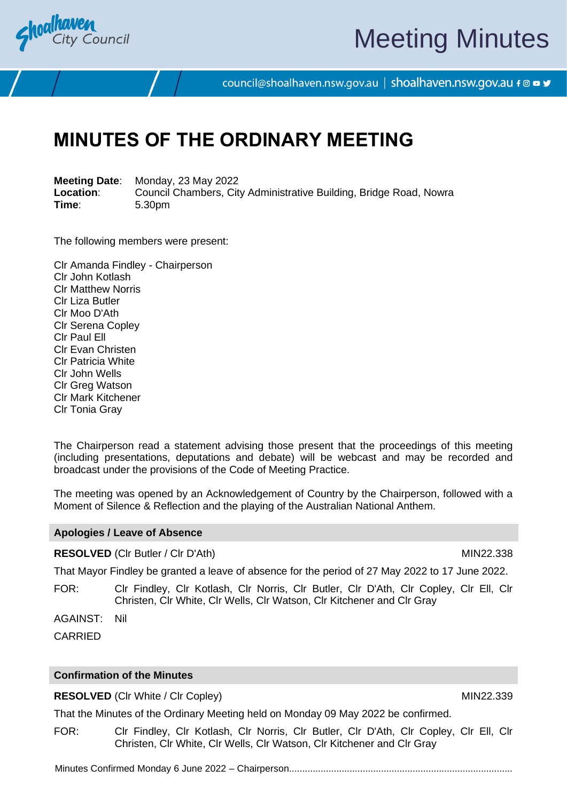

# Meeting Minutes

council@shoalhaven.nsw.gov.au | shoalhaven.nsw.gov.au f @ ■ y

## **MINUTES OF THE ORDINARY MEETING**

**Meeting Date**: Monday, 23 May 2022 **Location:** Council Chambers, City Administrative Building, Bridge Road, Nowra<br>
Time: 5.30pm **Time**: 5.30pm

The following members were present:

Clr Amanda Findley - Chairperson Clr John Kotlash Clr Matthew Norris Clr Liza Butler Clr Moo D'Ath Clr Serena Copley Clr Paul Ell Clr Evan Christen Clr Patricia White Clr John Wells Clr Greg Watson Clr Mark Kitchener Clr Tonia Gray

The Chairperson read a statement advising those present that the proceedings of this meeting (including presentations, deputations and debate) will be webcast and may be recorded and broadcast under the provisions of the Code of Meeting Practice.

The meeting was opened by an Acknowledgement of Country by the Chairperson, followed with a Moment of Silence & Reflection and the playing of the Australian National Anthem.

#### **Apologies / Leave of Absence**

#### **RESOLVED** (CIr Butler / CIr D'Ath) MIN22.338

That Mayor Findley be granted a leave of absence for the period of 27 May 2022 to 17 June 2022.

FOR: Clr Findley, Clr Kotlash, Clr Norris, Clr Butler, Clr D'Ath, Clr Copley, Clr Ell, Clr Christen, Clr White, Clr Wells, Clr Watson, Clr Kitchener and Clr Gray

AGAINST: Nil

**CARRIED** 

#### **Confirmation of the Minutes**

**RESOLVED** (CIr White / CIr Copley) MIN22.339

That the Minutes of the Ordinary Meeting held on Monday 09 May 2022 be confirmed.

FOR: Clr Findley, Clr Kotlash, Clr Norris, Clr Butler, Clr D'Ath, Clr Copley, Clr Ell, Clr Christen, Clr White, Clr Wells, Clr Watson, Clr Kitchener and Clr Gray

Minutes Confirmed Monday 6 June 2022 – Chairperson.....................................................................................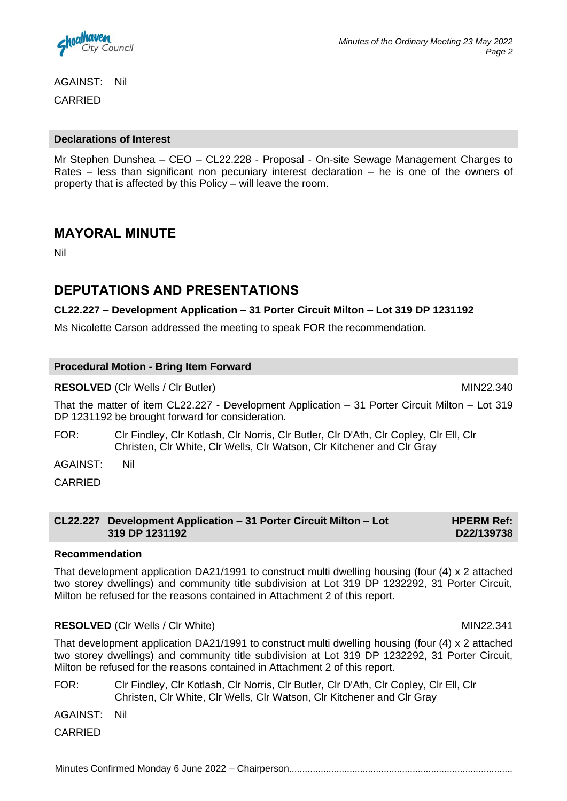

AGAINST: Nil CARRIED

#### **Declarations of Interest**

Mr Stephen Dunshea – CEO – CL22.228 - Proposal - On-site Sewage Management Charges to Rates – less than significant non pecuniary interest declaration – he is one of the owners of property that is affected by this Policy – will leave the room.

### **MAYORAL MINUTE**

Nil

## **DEPUTATIONS AND PRESENTATIONS**

#### **CL22.227 – Development Application – 31 Porter Circuit Milton – Lot 319 DP 1231192**

Ms Nicolette Carson addressed the meeting to speak FOR the recommendation.

#### **Procedural Motion - Bring Item Forward**

**RESOLVED** (Clr Wells / Clr Butler) MIN22.340

That the matter of item CL22.227 - Development Application – 31 Porter Circuit Milton – Lot 319 DP 1231192 be brought forward for consideration.

FOR: Clr Findley, Clr Kotlash, Clr Norris, Clr Butler, Clr D'Ath, Clr Copley, Clr Ell, Clr Christen, Clr White, Clr Wells, Clr Watson, Clr Kitchener and Clr Gray

AGAINST: Nil

CARRIED

**CL22.227 Development Application – 31 Porter Circuit Milton – Lot 319 DP 1231192**

#### **Recommendation**

That development application DA21/1991 to construct multi dwelling housing (four (4) x 2 attached two storey dwellings) and community title subdivision at Lot 319 DP 1232292, 31 Porter Circuit, Milton be refused for the reasons contained in Attachment 2 of this report.

#### **RESOLVED** (CIr Wells / CIr White) MIN22.341

That development application DA21/1991 to construct multi dwelling housing (four (4) x 2 attached two storey dwellings) and community title subdivision at Lot 319 DP 1232292, 31 Porter Circuit, Milton be refused for the reasons contained in Attachment 2 of this report.

FOR: Clr Findley, Clr Kotlash, Clr Norris, Clr Butler, Clr D'Ath, Clr Copley, Clr Ell, Clr Christen, Clr White, Clr Wells, Clr Watson, Clr Kitchener and Clr Gray

AGAINST: Nil

CARRIED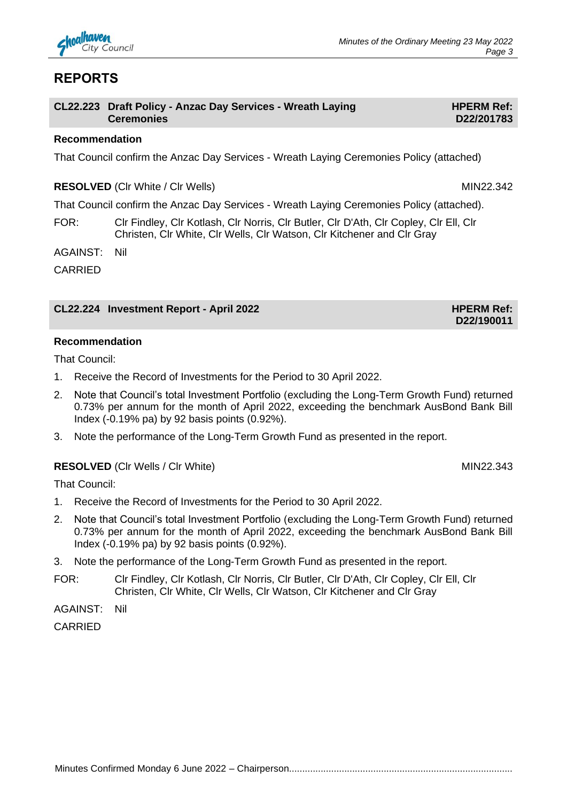

## **REPORTS**

| CL22.223 Draft Policy - Anzac Day Services - Wreath Laying |
|------------------------------------------------------------|
| <b>Ceremonies</b>                                          |

#### **Recommendation**

That Council confirm the Anzac Day Services - Wreath Laying Ceremonies Policy (attached)

**RESOLVED** (CIr White / Cir Wells) MIN22.342

That Council confirm the Anzac Day Services - Wreath Laying Ceremonies Policy (attached).

FOR: Clr Findley, Clr Kotlash, Clr Norris, Clr Butler, Clr D'Ath, Clr Copley, Clr Ell, Clr Christen, Clr White, Clr Wells, Clr Watson, Clr Kitchener and Clr Gray

AGAINST: Nil

CARRIED

#### **CL22.224 Investment Report - April 2022 HPERM Ref: HPERM Ref:**

**D22/190011**

#### **Recommendation**

That Council:

- 1. Receive the Record of Investments for the Period to 30 April 2022.
- 2. Note that Council's total Investment Portfolio (excluding the Long-Term Growth Fund) returned 0.73% per annum for the month of April 2022, exceeding the benchmark AusBond Bank Bill Index (-0.19% pa) by 92 basis points (0.92%).
- 3. Note the performance of the Long-Term Growth Fund as presented in the report.

#### **RESOLVED** (CIr Wells / CIr White) MIN22.343

That Council:

- 1. Receive the Record of Investments for the Period to 30 April 2022.
- 2. Note that Council's total Investment Portfolio (excluding the Long-Term Growth Fund) returned 0.73% per annum for the month of April 2022, exceeding the benchmark AusBond Bank Bill Index (-0.19% pa) by 92 basis points (0.92%).
- 3. Note the performance of the Long-Term Growth Fund as presented in the report.
- FOR: Clr Findley, Clr Kotlash, Clr Norris, Clr Butler, Clr D'Ath, Clr Copley, Clr Ell, Clr Christen, Clr White, Clr Wells, Clr Watson, Clr Kitchener and Clr Gray

AGAINST: Nil

CARRIED

Minutes Confirmed Monday 6 June 2022 – Chairperson.....................................................................................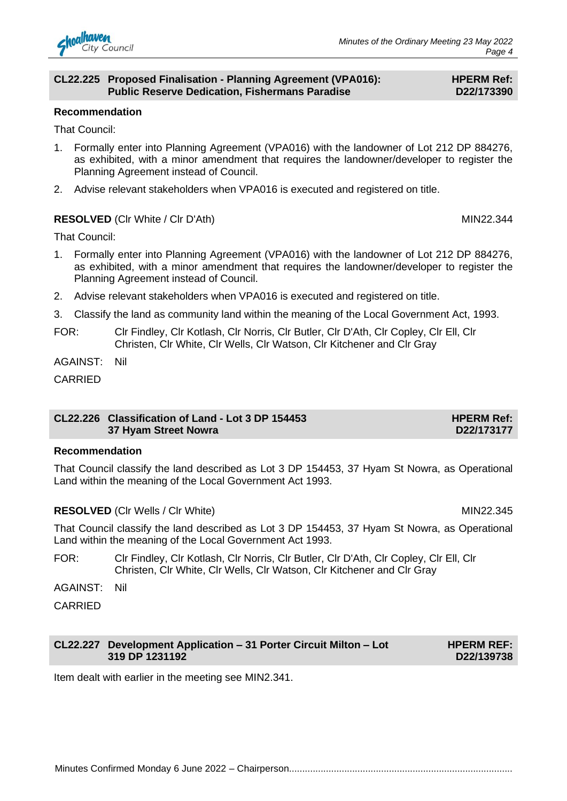

#### **CL22.225 Proposed Finalisation - Planning Agreement (VPA016): Public Reserve Dedication, Fishermans Paradise**

#### **HPERM Ref: D22/173390**

#### **Recommendation**

That Council:

- 1. Formally enter into Planning Agreement (VPA016) with the landowner of Lot 212 DP 884276, as exhibited, with a minor amendment that requires the landowner/developer to register the Planning Agreement instead of Council.
- 2. Advise relevant stakeholders when VPA016 is executed and registered on title.

#### **RESOLVED** (CIr White / CIr D'Ath) MIN22.344

That Council:

- 1. Formally enter into Planning Agreement (VPA016) with the landowner of Lot 212 DP 884276, as exhibited, with a minor amendment that requires the landowner/developer to register the Planning Agreement instead of Council.
- 2. Advise relevant stakeholders when VPA016 is executed and registered on title.
- 3. Classify the land as community land within the meaning of the Local Government Act, 1993.
- FOR: Clr Findley, Clr Kotlash, Clr Norris, Clr Butler, Clr D'Ath, Clr Copley, Clr Ell, Clr Christen, Clr White, Clr Wells, Clr Watson, Clr Kitchener and Clr Gray

AGAINST: Nil

CARRIED

#### **CL22.226 Classification of Land - Lot 3 DP 154453 37 Hyam Street Nowra**

#### **Recommendation**

That Council classify the land described as Lot 3 DP 154453, 37 Hyam St Nowra, as Operational Land within the meaning of the Local Government Act 1993.

#### **RESOLVED** (CIr Wells / CIr White) MIN22.345

That Council classify the land described as Lot 3 DP 154453, 37 Hyam St Nowra, as Operational Land within the meaning of the Local Government Act 1993.

- FOR: Clr Findley, Clr Kotlash, Clr Norris, Clr Butler, Clr D'Ath, Clr Copley, Clr Ell, Clr Christen, Clr White, Clr Wells, Clr Watson, Clr Kitchener and Clr Gray
- AGAINST: Nil

CARRIED

#### **CL22.227 Development Application – 31 Porter Circuit Milton – Lot 319 DP 1231192**

Item dealt with earlier in the meeting see MIN2.341.

**HPERM REF: D22/139738**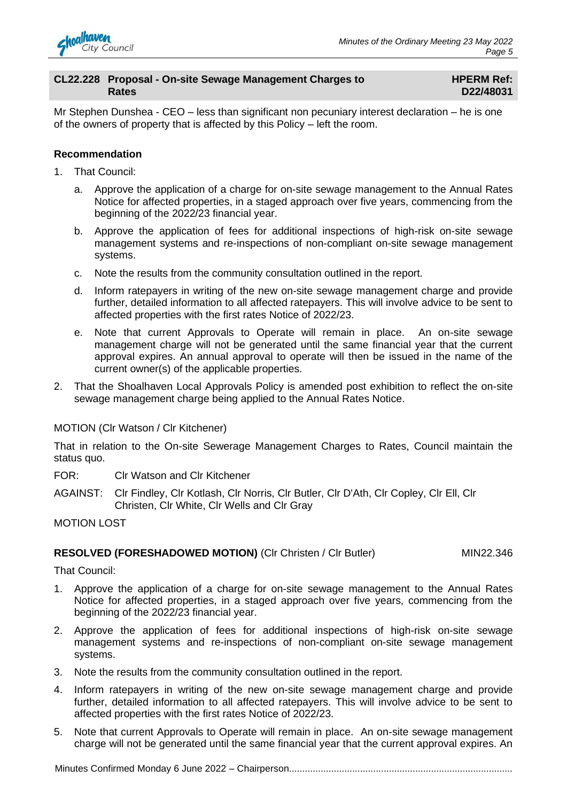

#### **CL22.228 Proposal - On-site Sewage Management Charges to Rates**

#### **HPERM Ref: D22/48031**

Mr Stephen Dunshea - CEO – less than significant non pecuniary interest declaration – he is one of the owners of property that is affected by this Policy – left the room.

#### **Recommendation**

- 1. That Council:
	- a. Approve the application of a charge for on-site sewage management to the Annual Rates Notice for affected properties, in a staged approach over five years, commencing from the beginning of the 2022/23 financial year.
	- b. Approve the application of fees for additional inspections of high-risk on-site sewage management systems and re-inspections of non-compliant on-site sewage management systems.
	- c. Note the results from the community consultation outlined in the report.
	- d. Inform ratepayers in writing of the new on-site sewage management charge and provide further, detailed information to all affected ratepayers. This will involve advice to be sent to affected properties with the first rates Notice of 2022/23.
	- e. Note that current Approvals to Operate will remain in place. An on-site sewage management charge will not be generated until the same financial year that the current approval expires. An annual approval to operate will then be issued in the name of the current owner(s) of the applicable properties.
- 2. That the Shoalhaven Local Approvals Policy is amended post exhibition to reflect the on-site sewage management charge being applied to the Annual Rates Notice.

#### MOTION (Clr Watson / Clr Kitchener)

That in relation to the On-site Sewerage Management Charges to Rates, Council maintain the status quo.

FOR: Clr Watson and Clr Kitchener

AGAINST: Clr Findley, Clr Kotlash, Clr Norris, Clr Butler, Clr D'Ath, Clr Copley, Clr Ell, Clr Christen, Clr White, Clr Wells and Clr Gray

MOTION LOST

#### **RESOLVED (FORESHADOWED MOTION)** (CIr Christen / CIr Butler) MIN22.346

That Council:

- 1. Approve the application of a charge for on-site sewage management to the Annual Rates Notice for affected properties, in a staged approach over five years, commencing from the beginning of the 2022/23 financial year.
- 2. Approve the application of fees for additional inspections of high-risk on-site sewage management systems and re-inspections of non-compliant on-site sewage management systems.
- 3. Note the results from the community consultation outlined in the report.
- 4. Inform ratepayers in writing of the new on-site sewage management charge and provide further, detailed information to all affected ratepayers. This will involve advice to be sent to affected properties with the first rates Notice of 2022/23.
- 5. Note that current Approvals to Operate will remain in place. An on-site sewage management charge will not be generated until the same financial year that the current approval expires. An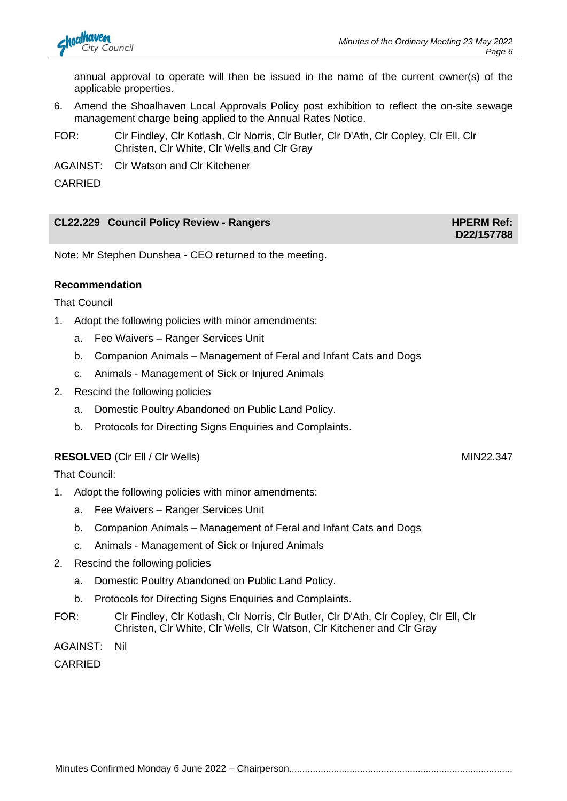annual approval to operate will then be issued in the name of the current owner(s) of the applicable properties.

- 6. Amend the Shoalhaven Local Approvals Policy post exhibition to reflect the on-site sewage management charge being applied to the Annual Rates Notice.
- FOR: Clr Findley, Clr Kotlash, Clr Norris, Clr Butler, Clr D'Ath, Clr Copley, Clr Ell, Clr Christen, Clr White, Clr Wells and Clr Gray
- AGAINST: Clr Watson and Clr Kitchener

CARRIED

#### **CL22.229 Council Policy Review - Rangers HPERM Ref: HPERM Ref:**

Note: Mr Stephen Dunshea - CEO returned to the meeting.

#### **Recommendation**

That Council

- 1. Adopt the following policies with minor amendments:
	- a. Fee Waivers Ranger Services Unit
	- b. Companion Animals Management of Feral and Infant Cats and Dogs
	- c. Animals Management of Sick or Injured Animals
- 2. Rescind the following policies
	- a. Domestic Poultry Abandoned on Public Land Policy.
	- b. Protocols for Directing Signs Enquiries and Complaints.

#### **RESOLVED** (CIr Ell / CIr Wells) MIN22.347

That Council:

- 1. Adopt the following policies with minor amendments:
	- a. Fee Waivers Ranger Services Unit
	- b. Companion Animals Management of Feral and Infant Cats and Dogs
	- c. Animals Management of Sick or Injured Animals
- 2. Rescind the following policies
	- a. Domestic Poultry Abandoned on Public Land Policy.
	- b. Protocols for Directing Signs Enquiries and Complaints.
- FOR: Clr Findley, Clr Kotlash, Clr Norris, Clr Butler, Clr D'Ath, Clr Copley, Clr Ell, Clr Christen, Clr White, Clr Wells, Clr Watson, Clr Kitchener and Clr Gray

AGAINST: Nil

CARRIED

**D22/157788**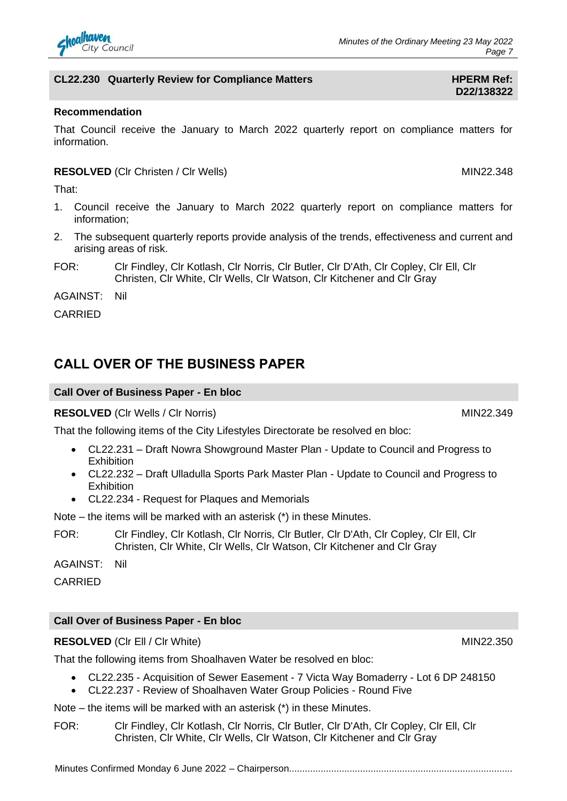

#### **CL22.230 Quarterly Review for Compliance Matters HPERM Ref:**

#### **Recommendation**

That Council receive the January to March 2022 quarterly report on compliance matters for information.

#### **RESOLVED** (CIr Christen / CIr Wells) MIN22.348

That:

- 1. Council receive the January to March 2022 quarterly report on compliance matters for information;
- 2. The subsequent quarterly reports provide analysis of the trends, effectiveness and current and arising areas of risk.
- FOR: Clr Findley, Clr Kotlash, Clr Norris, Clr Butler, Clr D'Ath, Clr Copley, Clr Ell, Clr Christen, Clr White, Clr Wells, Clr Watson, Clr Kitchener and Clr Gray

AGAINST: Nil

CARRIED

## **CALL OVER OF THE BUSINESS PAPER**

#### **Call Over of Business Paper - En bloc**

**RESOLVED** (CIr Wells / CIr Norris) MIN22.349

That the following items of the City Lifestyles Directorate be resolved en bloc:

- CL22.231 Draft Nowra Showground Master Plan Update to Council and Progress to **Exhibition**
- CL22.232 Draft Ulladulla Sports Park Master Plan Update to Council and Progress to Exhibition
- CL22.234 Request for Plaques and Memorials

Note – the items will be marked with an asterisk (\*) in these Minutes.

FOR: Clr Findley, Clr Kotlash, Clr Norris, Clr Butler, Clr D'Ath, Clr Copley, Clr Ell, Clr Christen, Clr White, Clr Wells, Clr Watson, Clr Kitchener and Clr Gray

AGAINST: Nil

CARRIED

#### **Call Over of Business Paper - En bloc**

#### **RESOLVED** (CIr Ell / CIr White) MIN22.350

That the following items from Shoalhaven Water be resolved en bloc:

- CL22.235 Acquisition of Sewer Easement 7 Victa Way Bomaderry Lot 6 DP 248150
- CL22.237 Review of Shoalhaven Water Group Policies Round Five
- Note the items will be marked with an asterisk (\*) in these Minutes.
- FOR: Clr Findley, Clr Kotlash, Clr Norris, Clr Butler, Clr D'Ath, Clr Copley, Clr Ell, Clr Christen, Clr White, Clr Wells, Clr Watson, Clr Kitchener and Clr Gray

**D22/138322**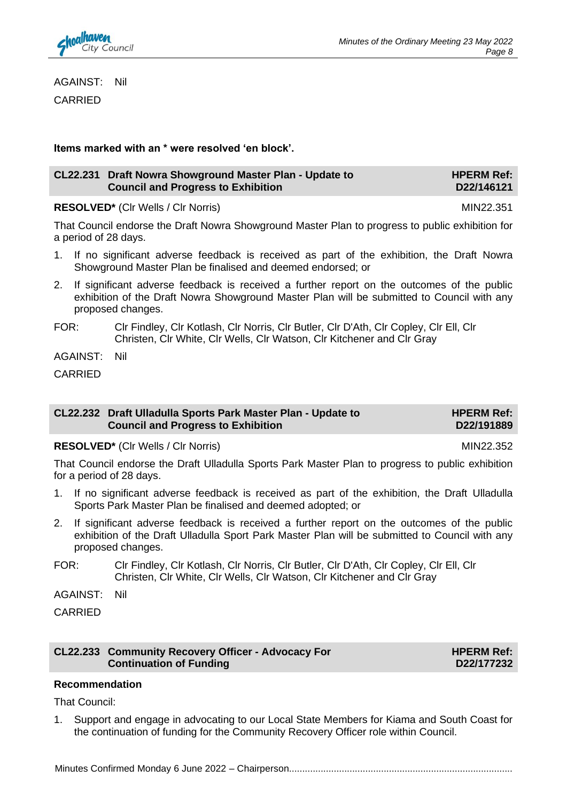AGAINST: Nil CARRIED

**Items marked with an \* were resolved 'en block'.**

| CL22.231 Draft Nowra Showground Master Plan - Update to |                                           | <b>HPERM Ref:</b> |
|---------------------------------------------------------|-------------------------------------------|-------------------|
|                                                         | <b>Council and Progress to Exhibition</b> | D22/146121        |

**RESOLVED\*** (CIr Wells / CIr Norris) MIN22.351

That Council endorse the Draft Nowra Showground Master Plan to progress to public exhibition for a period of 28 days.

- 1. If no significant adverse feedback is received as part of the exhibition, the Draft Nowra Showground Master Plan be finalised and deemed endorsed; or
- 2. If significant adverse feedback is received a further report on the outcomes of the public exhibition of the Draft Nowra Showground Master Plan will be submitted to Council with any proposed changes.
- FOR: Clr Findley, Clr Kotlash, Clr Norris, Clr Butler, Clr D'Ath, Clr Copley, Clr Ell, Clr Christen, Clr White, Clr Wells, Clr Watson, Clr Kitchener and Clr Gray

AGAINST: Nil

CARRIED

#### **CL22.232 Draft Ulladulla Sports Park Master Plan - Update to Council and Progress to Exhibition**

**RESOLVED\*** (CIr Wells / CIr Norris) MIN22.352

That Council endorse the Draft Ulladulla Sports Park Master Plan to progress to public exhibition for a period of 28 days.

- 1. If no significant adverse feedback is received as part of the exhibition, the Draft Ulladulla Sports Park Master Plan be finalised and deemed adopted; or
- 2. If significant adverse feedback is received a further report on the outcomes of the public exhibition of the Draft Ulladulla Sport Park Master Plan will be submitted to Council with any proposed changes.
- FOR: Clr Findley, Clr Kotlash, Clr Norris, Clr Butler, Clr D'Ath, Clr Copley, Clr Ell, Clr Christen, Clr White, Clr Wells, Clr Watson, Clr Kitchener and Clr Gray

AGAINST: Nil

CARRIED

#### **CL22.233 Community Recovery Officer - Advocacy For Continuation of Funding**

#### **HPERM Ref: D22/177232**

## **Recommendation**

That Council:

1. Support and engage in advocating to our Local State Members for Kiama and South Coast for the continuation of funding for the Community Recovery Officer role within Council.

Minutes Confirmed Monday 6 June 2022 – Chairperson.....................................................................................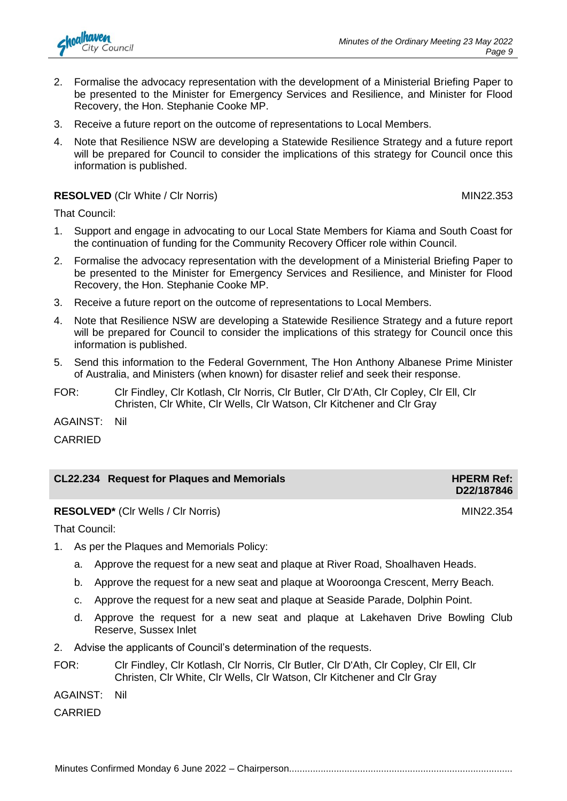

- 2. Formalise the advocacy representation with the development of a Ministerial Briefing Paper to be presented to the Minister for Emergency Services and Resilience, and Minister for Flood Recovery, the Hon. Stephanie Cooke MP.
- 3. Receive a future report on the outcome of representations to Local Members.
- 4. Note that Resilience NSW are developing a Statewide Resilience Strategy and a future report will be prepared for Council to consider the implications of this strategy for Council once this information is published.

#### **RESOLVED** (CIr White / CIr Norris) MIN22.353

That Council:

- 1. Support and engage in advocating to our Local State Members for Kiama and South Coast for the continuation of funding for the Community Recovery Officer role within Council.
- 2. Formalise the advocacy representation with the development of a Ministerial Briefing Paper to be presented to the Minister for Emergency Services and Resilience, and Minister for Flood Recovery, the Hon. Stephanie Cooke MP.
- 3. Receive a future report on the outcome of representations to Local Members.
- 4. Note that Resilience NSW are developing a Statewide Resilience Strategy and a future report will be prepared for Council to consider the implications of this strategy for Council once this information is published.
- 5. Send this information to the Federal Government, The Hon Anthony Albanese Prime Minister of Australia, and Ministers (when known) for disaster relief and seek their response.
- FOR: Clr Findley, Clr Kotlash, Clr Norris, Clr Butler, Clr D'Ath, Clr Copley, Clr Ell, Clr Christen, Clr White, Clr Wells, Clr Watson, Clr Kitchener and Clr Gray

AGAINST: Nil

CARRIED

| <b>CL22.234 Request for Plaques and Memorials</b> | <b>HPERM Ref:</b> |
|---------------------------------------------------|-------------------|
|                                                   | D22/187846        |

**RESOLVED<sup>\*</sup>** (Clr Wells / Clr Norris) MIN22.354

That Council:

- 1. As per the Plaques and Memorials Policy:
	- a. Approve the request for a new seat and plaque at River Road, Shoalhaven Heads.
	- b. Approve the request for a new seat and plaque at Wooroonga Crescent, Merry Beach.
	- c. Approve the request for a new seat and plaque at Seaside Parade, Dolphin Point.
	- d. Approve the request for a new seat and plaque at Lakehaven Drive Bowling Club Reserve, Sussex Inlet
- 2. Advise the applicants of Council's determination of the requests.
- FOR: Clr Findley, Clr Kotlash, Clr Norris, Clr Butler, Clr D'Ath, Clr Copley, Clr Ell, Clr Christen, Clr White, Clr Wells, Clr Watson, Clr Kitchener and Clr Gray

AGAINST: Nil

CARRIED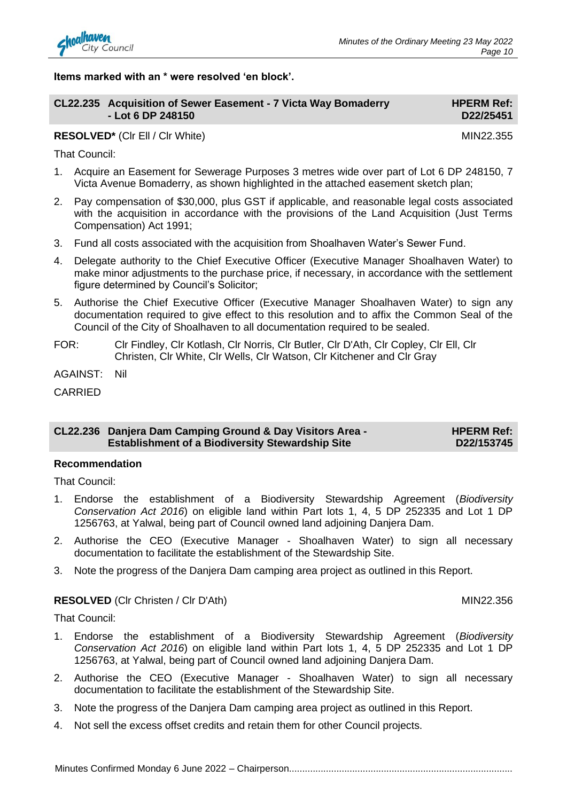

**Items marked with an \* were resolved 'en block'.**

| CL22.235 Acquisition of Sewer Easement - 7 Victa Way Bomaderry | <b>HPERM Ref:</b> |
|----------------------------------------------------------------|-------------------|
| - Lot 6 DP 248150                                              | D22/25451         |
| <b>RESOLVED*</b> (CIr EII / CIr White)                         | MIN22.355         |

That Council:

- 1. Acquire an Easement for Sewerage Purposes 3 metres wide over part of Lot 6 DP 248150, 7 Victa Avenue Bomaderry, as shown highlighted in the attached easement sketch plan;
- 2. Pay compensation of \$30,000, plus GST if applicable, and reasonable legal costs associated with the acquisition in accordance with the provisions of the Land Acquisition (Just Terms Compensation) Act 1991;
- 3. Fund all costs associated with the acquisition from Shoalhaven Water's Sewer Fund.
- 4. Delegate authority to the Chief Executive Officer (Executive Manager Shoalhaven Water) to make minor adjustments to the purchase price, if necessary, in accordance with the settlement figure determined by Council's Solicitor;
- 5. Authorise the Chief Executive Officer (Executive Manager Shoalhaven Water) to sign any documentation required to give effect to this resolution and to affix the Common Seal of the Council of the City of Shoalhaven to all documentation required to be sealed.
- FOR: Clr Findley, Clr Kotlash, Clr Norris, Clr Butler, Clr D'Ath, Clr Copley, Clr Ell, Clr Christen, Clr White, Clr Wells, Clr Watson, Clr Kitchener and Clr Gray

AGAINST: Nil

CARRIED

| CL22.236 Danjera Dam Camping Ground & Day Visitors Area - |  | <b>HPERM Ref:</b> |
|-----------------------------------------------------------|--|-------------------|
| <b>Establishment of a Biodiversity Stewardship Site</b>   |  | D22/153745        |

#### **Recommendation**

That Council:

- 1. Endorse the establishment of a Biodiversity Stewardship Agreement (*Biodiversity Conservation Act 2016*) on eligible land within Part lots 1, 4, 5 DP 252335 and Lot 1 DP 1256763, at Yalwal, being part of Council owned land adjoining Danjera Dam.
- 2. Authorise the CEO (Executive Manager Shoalhaven Water) to sign all necessary documentation to facilitate the establishment of the Stewardship Site.
- 3. Note the progress of the Danjera Dam camping area project as outlined in this Report.

#### **RESOLVED** (CIr Christen / CIr D'Ath) MIN22.356

That Council:

- 1. Endorse the establishment of a Biodiversity Stewardship Agreement (*Biodiversity Conservation Act 2016*) on eligible land within Part lots 1, 4, 5 DP 252335 and Lot 1 DP 1256763, at Yalwal, being part of Council owned land adjoining Danjera Dam.
- 2. Authorise the CEO (Executive Manager Shoalhaven Water) to sign all necessary documentation to facilitate the establishment of the Stewardship Site.
- 3. Note the progress of the Danjera Dam camping area project as outlined in this Report.
- 4. Not sell the excess offset credits and retain them for other Council projects.